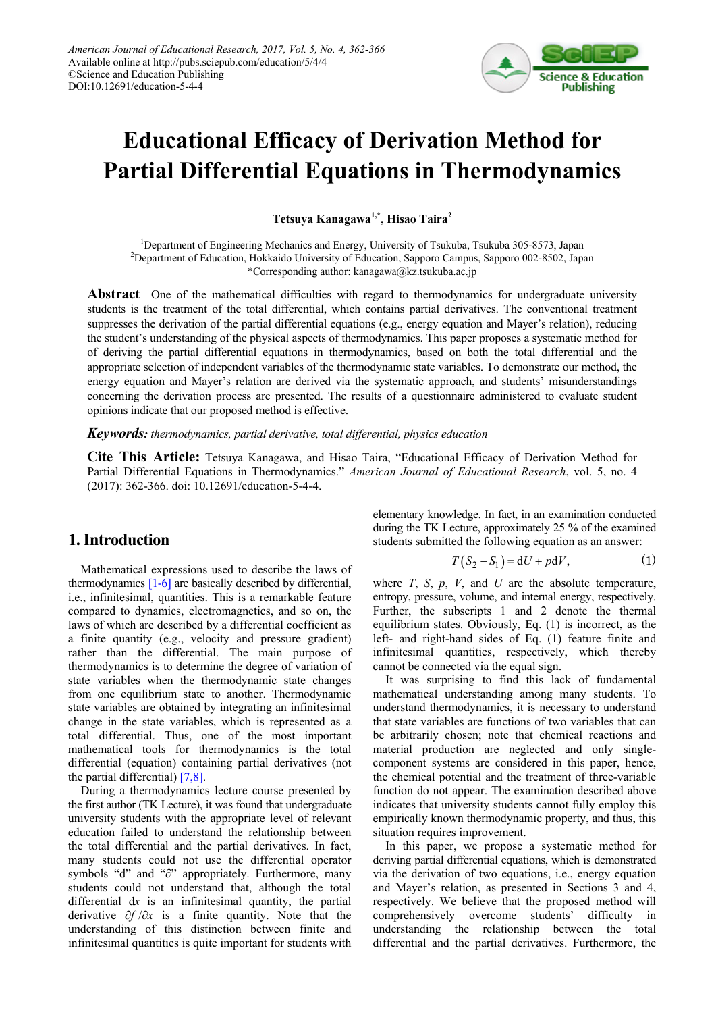

# **Educational Efficacy of Derivation Method for Partial Differential Equations in Thermodynamics**

**Tetsuya Kanagawa1,\*, Hisao Taira2**

<sup>1</sup>Department of Engineering Mechanics and Energy, University of Tsukuba, Tsukuba 305-8573, Japan 2 Department of Education, Hokkaido University of Education, Sapporo Campus, Sapporo 002-8502, Japan \*Corresponding author: kanagawa@kz.tsukuba.ac.jp

**Abstract** One of the mathematical difficulties with regard to thermodynamics for undergraduate university students is the treatment of the total differential, which contains partial derivatives. The conventional treatment suppresses the derivation of the partial differential equations (e.g., energy equation and Mayer's relation), reducing the student's understanding of the physical aspects of thermodynamics. This paper proposes a systematic method for of deriving the partial differential equations in thermodynamics, based on both the total differential and the appropriate selection of independent variables of the thermodynamic state variables. To demonstrate our method, the energy equation and Mayer's relation are derived via the systematic approach, and students' misunderstandings concerning the derivation process are presented. The results of a questionnaire administered to evaluate student opinions indicate that our proposed method is effective.

*Keywords: thermodynamics, partial derivative, total differential, physics education*

**Cite This Article:** Tetsuya Kanagawa, and Hisao Taira, "Educational Efficacy of Derivation Method for Partial Differential Equations in Thermodynamics." *American Journal of Educational Research*, vol. 5, no. 4 (2017): 362-366. doi: 10.12691/education-5-4-4.

## **1. Introduction**

Mathematical expressions used to describe the laws of thermodynamics [\[1-6\]](#page-4-0) are basically described by differential, i.e., infinitesimal, quantities. This is a remarkable feature compared to dynamics, electromagnetics, and so on, the laws of which are described by a differential coefficient as a finite quantity (e.g., velocity and pressure gradient) rather than the differential. The main purpose of thermodynamics is to determine the degree of variation of state variables when the thermodynamic state changes from one equilibrium state to another. Thermodynamic state variables are obtained by integrating an infinitesimal change in the state variables, which is represented as a total differential. Thus, one of the most important mathematical tools for thermodynamics is the total differential (equation) containing partial derivatives (not the partial differential[\) \[7,8\].](#page-4-1)

During a thermodynamics lecture course presented by the first author (TK Lecture), it was found that undergraduate university students with the appropriate level of relevant education failed to understand the relationship between the total differential and the partial derivatives. In fact, many students could not use the differential operator symbols "d" and "∂" appropriately. Furthermore, many students could not understand that, although the total differential d*x* is an infinitesimal quantity, the partial derivative ∂*f* /∂*x* is a finite quantity. Note that the understanding of this distinction between finite and infinitesimal quantities is quite important for students with elementary knowledge. In fact, in an examination conducted during the TK Lecture, approximately 25 % of the examined students submitted the following equation as an answer:

$$
T(S_2 - S_1) = dU + pdV, \qquad (1)
$$

where  $T$ ,  $S$ ,  $p$ ,  $V$ , and  $U$  are the absolute temperature, entropy, pressure, volume, and internal energy, respectively. Further, the subscripts 1 and 2 denote the thermal equilibrium states. Obviously, Eq. (1) is incorrect, as the left- and right-hand sides of Eq. (1) feature finite and infinitesimal quantities, respectively, which thereby cannot be connected via the equal sign.

It was surprising to find this lack of fundamental mathematical understanding among many students. To understand thermodynamics, it is necessary to understand that state variables are functions of two variables that can be arbitrarily chosen; note that chemical reactions and material production are neglected and only singlecomponent systems are considered in this paper, hence, the chemical potential and the treatment of three-variable function do not appear. The examination described above indicates that university students cannot fully employ this empirically known thermodynamic property, and thus, this situation requires improvement.

In this paper, we propose a systematic method for deriving partial differential equations, which is demonstrated via the derivation of two equations, i.e., energy equation and Mayer's relation, as presented in Sections 3 and 4, respectively. We believe that the proposed method will comprehensively overcome students' difficulty in understanding the relationship between the total differential and the partial derivatives. Furthermore, the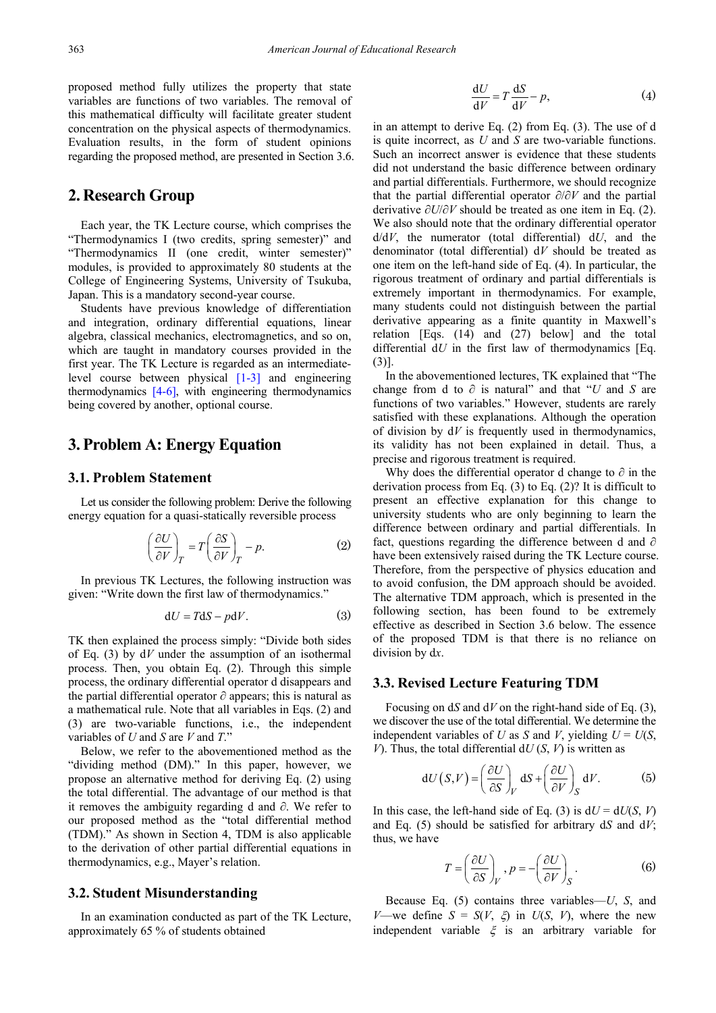proposed method fully utilizes the property that state variables are functions of two variables. The removal of this mathematical difficulty will facilitate greater student concentration on the physical aspects of thermodynamics. Evaluation results, in the form of student opinions regarding the proposed method, are presented in Section 3.6.

# **2. Research Group**

Each year, the TK Lecture course, which comprises the "Thermodynamics I (two credits, spring semester)" and "Thermodynamics II (one credit, winter semester)" modules, is provided to approximately 80 students at the College of Engineering Systems, University of Tsukuba, Japan. This is a mandatory second-year course.

Students have previous knowledge of differentiation and integration, ordinary differential equations, linear algebra, classical mechanics, electromagnetics, and so on, which are taught in mandatory courses provided in the first year. The TK Lecture is regarded as an intermediatelevel course between physical  $\begin{bmatrix} 1-3 \end{bmatrix}$  and engineering thermodynamics [\[4-6\],](#page-4-2) with engineering thermodynamics being covered by another, optional course.

## **3. Problem A: Energy Equation**

#### **3.1. Problem Statement**

Let us consider the following problem: Derive the following energy equation for a quasi-statically reversible process

$$
\left(\frac{\partial U}{\partial V}\right)_T = T\left(\frac{\partial S}{\partial V}\right)_T - p.\tag{2}
$$

In previous TK Lectures, the following instruction was given: "Write down the first law of thermodynamics."

$$
dU = TdS - pdV.
$$
 (3)

TK then explained the process simply: "Divide both sides of Eq. (3) by d*V* under the assumption of an isothermal process. Then, you obtain Eq. (2). Through this simple process, the ordinary differential operator d disappears and the partial differential operator ∂ appears; this is natural as a mathematical rule. Note that all variables in Eqs. (2) and (3) are two-variable functions, i.e., the independent variables of *U* and *S* are *V* and *T*."

Below, we refer to the abovementioned method as the "dividing method (DM)." In this paper, however, we propose an alternative method for deriving Eq. (2) using the total differential. The advantage of our method is that it removes the ambiguity regarding d and ∂. We refer to our proposed method as the "total differential method (TDM)." As shown in Section 4, TDM is also applicable to the derivation of other partial differential equations in thermodynamics, e.g., Mayer's relation.

#### **3.2. Student Misunderstanding**

In an examination conducted as part of the TK Lecture, approximately 65 % of students obtained

$$
\frac{dU}{dV} = T \frac{dS}{dV} - p,\tag{4}
$$

in an attempt to derive Eq. (2) from Eq. (3). The use of d is quite incorrect, as *U* and *S* are two-variable functions. Such an incorrect answer is evidence that these students did not understand the basic difference between ordinary and partial differentials. Furthermore, we should recognize that the partial differential operator ∂/∂*V* and the partial derivative ∂*U*/∂*V* should be treated as one item in Eq. (2). We also should note that the ordinary differential operator d/d*V*, the numerator (total differential) d*U*, and the denominator (total differential) d*V* should be treated as one item on the left-hand side of Eq. (4). In particular, the rigorous treatment of ordinary and partial differentials is extremely important in thermodynamics. For example, many students could not distinguish between the partial derivative appearing as a finite quantity in Maxwell's relation [Eqs. (14) and (27) below] and the total differential d*U* in the first law of thermodynamics [Eq. (3)].

In the abovementioned lectures, TK explained that "The change from d to ∂ is natural" and that "*U* and *S* are functions of two variables." However, students are rarely satisfied with these explanations. Although the operation of division by d*V* is frequently used in thermodynamics, its validity has not been explained in detail. Thus, a precise and rigorous treatment is required.

Why does the differential operator d change to  $\partial$  in the derivation process from Eq. (3) to Eq. (2)? It is difficult to present an effective explanation for this change to university students who are only beginning to learn the difference between ordinary and partial differentials. In fact, questions regarding the difference between d and ∂ have been extensively raised during the TK Lecture course. Therefore, from the perspective of physics education and to avoid confusion, the DM approach should be avoided. The alternative TDM approach, which is presented in the following section, has been found to be extremely effective as described in Section 3.6 below. The essence of the proposed TDM is that there is no reliance on division by d*x*.

### **3.3. Revised Lecture Featuring TDM**

Focusing on d*S* and d*V* on the right-hand side of Eq. (3), we discover the use of the total differential. We determine the independent variables of *U* as *S* and *V*, yielding  $U = U(S)$ , *V*). Thus, the total differential  $dU(S, V)$  is written as

$$
dU(S,V) = \left(\frac{\partial U}{\partial S}\right)_V dS + \left(\frac{\partial U}{\partial V}\right)_S dV.
$$
 (5)

In this case, the left-hand side of Eq. (3) is  $dU = dU(S, V)$ and Eq. (5) should be satisfied for arbitrary d*S* and d*V*; thus, we have

$$
T = \left(\frac{\partial U}{\partial S}\right)_V, p = -\left(\frac{\partial U}{\partial V}\right)_S.
$$
 (6)

Because Eq. (5) contains three variables—*U*, *S*, and *V*—we define  $S = S(V, \xi)$  in  $U(S, V)$ , where the new independent variable  $\xi$  is an arbitrary variable for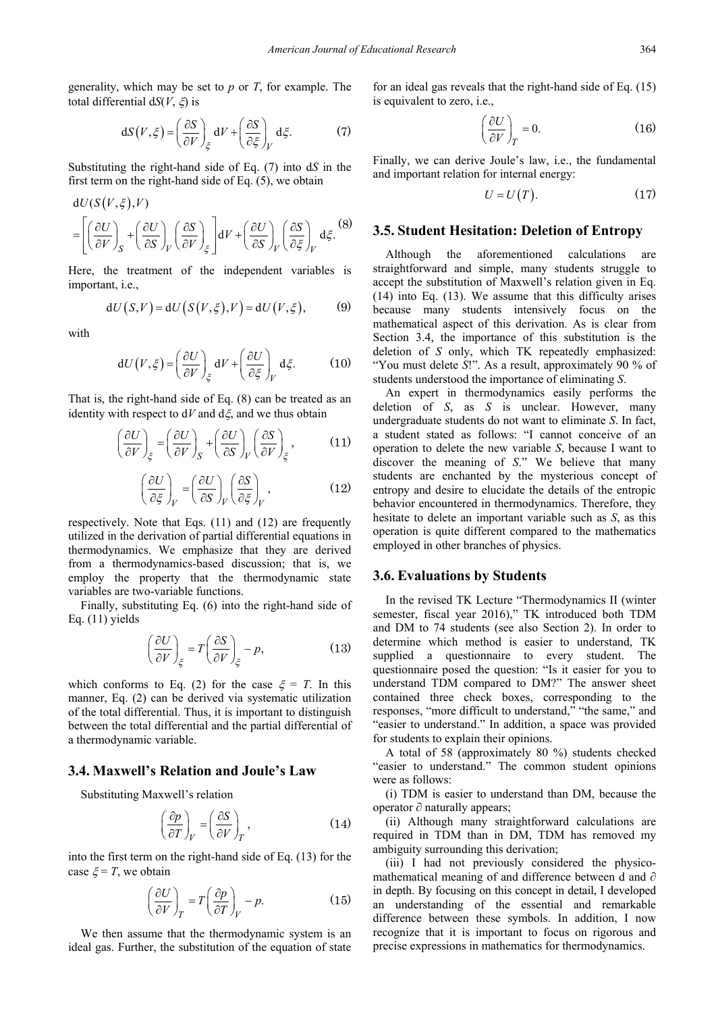generality, which may be set to *p* or *T*, for example. The total differential d*S*(*V*, ξ) is

$$
dS(V,\xi) = \left(\frac{\partial S}{\partial V}\right)_{\xi} dV + \left(\frac{\partial S}{\partial \xi}\right)_V d\xi.
$$
 (7)

Substituting the right-hand side of Eq. (7) into d*S* in the first term on the right-hand side of Eq. (5), we obtain

$$
dU(S(V,\xi),V)
$$
  
=  $\left[ \left( \frac{\partial U}{\partial V} \right)_S + \left( \frac{\partial U}{\partial S} \right)_V \left( \frac{\partial S}{\partial V} \right)_\xi \right] dV + \left( \frac{\partial U}{\partial S} \right)_V \left( \frac{\partial S}{\partial \xi} \right)_V d\xi.$  (8)

Here, the treatment of the independent variables is important, i.e.,

$$
dU(S,V) = dU(S(V,\xi),V) = dU(V,\xi), \qquad (9)
$$

with

$$
dU(V,\xi) = \left(\frac{\partial U}{\partial V}\right)_{\xi} dV + \left(\frac{\partial U}{\partial \xi}\right)_V d\xi.
$$
 (10)

That is, the right-hand side of Eq. (8) can be treated as an identity with respect to  $dV$  and  $d\xi$ , and we thus obtain

$$
\left(\frac{\partial U}{\partial V}\right)_{\xi} = \left(\frac{\partial U}{\partial V}\right)_{S} + \left(\frac{\partial U}{\partial S}\right)_{V} \left(\frac{\partial S}{\partial V}\right)_{\xi},\tag{11}
$$

$$
\left(\frac{\partial U}{\partial \xi}\right)_V = \left(\frac{\partial U}{\partial S}\right)_V \left(\frac{\partial S}{\partial \xi}\right)_V,\tag{12}
$$

respectively. Note that Eqs. (11) and (12) are frequently utilized in the derivation of partial differential equations in thermodynamics. We emphasize that they are derived from a thermodynamics-based discussion; that is, we employ the property that the thermodynamic state variables are two-variable functions.

Finally, substituting Eq. (6) into the right-hand side of Eq. (11) yields

$$
\left(\frac{\partial U}{\partial V}\right)_{\xi} = T\left(\frac{\partial S}{\partial V}\right)_{\xi} - p,\tag{13}
$$

which conforms to Eq. (2) for the case  $\xi = T$ . In this manner, Eq. (2) can be derived via systematic utilization of the total differential. Thus, it is important to distinguish between the total differential and the partial differential of a thermodynamic variable.

## **3.4. Maxwell's Relation and Joule's Law**

Substituting Maxwell's relation

$$
\left(\frac{\partial p}{\partial T}\right)_V = \left(\frac{\partial S}{\partial V}\right)_T, \tag{14}
$$

into the first term on the right-hand side of Eq. (13) for the case  $\xi = T$ , we obtain

$$
\left(\frac{\partial U}{\partial V}\right)_T = T\left(\frac{\partial p}{\partial T}\right)_V - p.\tag{15}
$$

We then assume that the thermodynamic system is an ideal gas. Further, the substitution of the equation of state for an ideal gas reveals that the right-hand side of Eq. (15) is equivalent to zero, i.e.,

$$
\left(\frac{\partial U}{\partial V}\right)_T = 0.\tag{16}
$$

Finally, we can derive Joule's law, i.e., the fundamental and important relation for internal energy:

$$
U = U(T). \tag{17}
$$

#### **3.5. Student Hesitation: Deletion of Entropy**

Although the aforementioned calculations are straightforward and simple, many students struggle to accept the substitution of Maxwell's relation given in Eq. (14) into Eq. (13). We assume that this difficulty arises because many students intensively focus on the mathematical aspect of this derivation. As is clear from Section 3.4, the importance of this substitution is the deletion of *S* only, which TK repeatedly emphasized: "You must delete *S*!". As a result, approximately 90 % of students understood the importance of eliminating *S*.

An expert in thermodynamics easily performs the deletion of *S*, as *S* is unclear. However, many undergraduate students do not want to eliminate *S*. In fact, a student stated as follows: "I cannot conceive of an operation to delete the new variable *S*, because I want to discover the meaning of *S*." We believe that many students are enchanted by the mysterious concept of entropy and desire to elucidate the details of the entropic behavior encountered in thermodynamics. Therefore, they hesitate to delete an important variable such as *S*, as this operation is quite different compared to the mathematics employed in other branches of physics.

#### **3.6. Evaluations by Students**

In the revised TK Lecture "Thermodynamics II (winter semester, fiscal year 2016)," TK introduced both TDM and DM to 74 students (see also Section 2). In order to determine which method is easier to understand, TK supplied a questionnaire to every student. The questionnaire posed the question: "Is it easier for you to understand TDM compared to DM?" The answer sheet contained three check boxes, corresponding to the responses, "more difficult to understand," "the same," and "easier to understand." In addition, a space was provided for students to explain their opinions.

A total of 58 (approximately 80 %) students checked "easier to understand." The common student opinions were as follows:

(i) TDM is easier to understand than DM, because the operator ∂ naturally appears;

(ii) Although many straightforward calculations are required in TDM than in DM, TDM has removed my ambiguity surrounding this derivation;

(iii) I had not previously considered the physicomathematical meaning of and difference between d and ∂ in depth. By focusing on this concept in detail, I developed an understanding of the essential and remarkable difference between these symbols. In addition, I now recognize that it is important to focus on rigorous and precise expressions in mathematics for thermodynamics.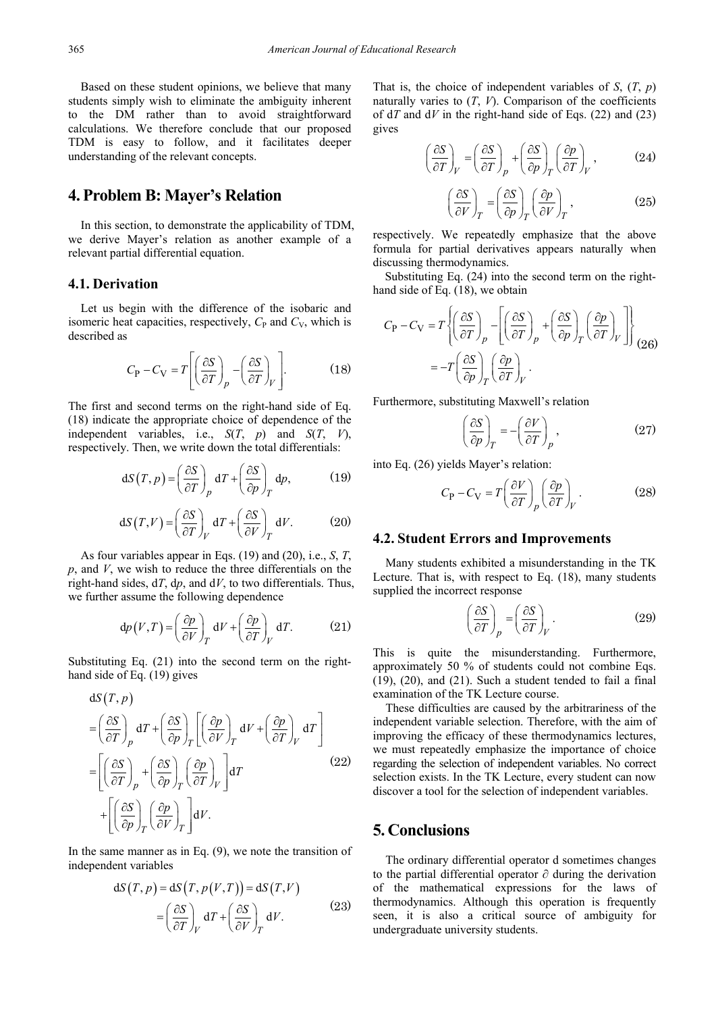Based on these student opinions, we believe that many students simply wish to eliminate the ambiguity inherent to the DM rather than to avoid straightforward calculations. We therefore conclude that our proposed TDM is easy to follow, and it facilitates deeper understanding of the relevant concepts.

## **4. Problem B: Mayer's Relation**

In this section, to demonstrate the applicability of TDM, we derive Mayer's relation as another example of a relevant partial differential equation.

## **4.1. Derivation**

Let us begin with the difference of the isobaric and isomeric heat capacities, respectively,  $C_P$  and  $C_V$ , which is described as

$$
C_{\rm P} - C_{\rm V} = T \left[ \left( \frac{\partial S}{\partial T} \right)_p - \left( \frac{\partial S}{\partial T} \right)_V \right].
$$
 (18)

The first and second terms on the right-hand side of Eq. (18) indicate the appropriate choice of dependence of the independent variables, i.e., *S*(*T*, *p*) and *S*(*T*, *V*), respectively. Then, we write down the total differentials:

$$
dS(T, p) = \left(\frac{\partial S}{\partial T}\right)_p dT + \left(\frac{\partial S}{\partial p}\right)_T dp, \qquad (19)
$$

$$
dS(T,V) = \left(\frac{\partial S}{\partial T}\right)_V dT + \left(\frac{\partial S}{\partial V}\right)_T dV.
$$
 (20)

As four variables appear in Eqs. (19) and (20), i.e., *S*, *T*, *p*, and *V*, we wish to reduce the three differentials on the right-hand sides, d*T*, d*p*, and d*V*, to two differentials. Thus, we further assume the following dependence

$$
dp(V,T) = \left(\frac{\partial p}{\partial V}\right)_T dV + \left(\frac{\partial p}{\partial T}\right)_V dT.
$$
 (21)

Substituting Eq. (21) into the second term on the righthand side of Eq. (19) gives

$$
dS(T, p)
$$
  
\n
$$
= \left(\frac{\partial S}{\partial T}\right)_p dT + \left(\frac{\partial S}{\partial p}\right)_T \left[\left(\frac{\partial p}{\partial V}\right)_T dV + \left(\frac{\partial p}{\partial T}\right)_V dT\right]
$$
  
\n
$$
= \left[\left(\frac{\partial S}{\partial T}\right)_p + \left(\frac{\partial S}{\partial p}\right)_T \left(\frac{\partial p}{\partial T}\right)_V\right] dT + \left[\left(\frac{\partial S}{\partial p}\right)_T \left(\frac{\partial p}{\partial V}\right)_T\right] dV.
$$
\n(22)

In the same manner as in Eq. (9), we note the transition of independent variables

$$
dS(T, p) = dS(T, p(V, T)) = dS(T, V)
$$
  
=  $\left(\frac{\partial S}{\partial T}\right)_V dT + \left(\frac{\partial S}{\partial V}\right)_T dV.$  (23)

That is, the choice of independent variables of *S*, (*T*, *p*) naturally varies to  $(T, V)$ . Comparison of the coefficients of d*T* and d*V* in the right-hand side of Eqs. (22) and (23) gives

$$
\left(\frac{\partial S}{\partial T}\right)_V = \left(\frac{\partial S}{\partial T}\right)_P + \left(\frac{\partial S}{\partial p}\right)_T \left(\frac{\partial p}{\partial T}\right)_V, \tag{24}
$$

$$
\left(\frac{\partial S}{\partial V}\right)_T = \left(\frac{\partial S}{\partial p}\right)_T \left(\frac{\partial p}{\partial V}\right)_T, \tag{25}
$$

respectively. We repeatedly emphasize that the above formula for partial derivatives appears naturally when discussing thermodynamics.

Substituting Eq. (24) into the second term on the righthand side of Eq. (18), we obtain

$$
C_{\rm P} - C_{\rm V} = T \left\{ \left( \frac{\partial S}{\partial T} \right)_p - \left[ \left( \frac{\partial S}{\partial T} \right)_p + \left( \frac{\partial S}{\partial p} \right)_T \left( \frac{\partial p}{\partial T} \right)_V \right] \right\}
$$
  
= 
$$
-T \left( \frac{\partial S}{\partial p} \right)_T \left( \frac{\partial p}{\partial T} \right)_V.
$$
 (26)

Furthermore, substituting Maxwell's relation

$$
\left(\frac{\partial S}{\partial p}\right)_T = -\left(\frac{\partial V}{\partial T}\right)_p,\tag{27}
$$

into Eq. (26) yields Mayer's relation:

$$
C_{\rm P} - C_{\rm V} = T \left( \frac{\partial V}{\partial T} \right)_{p} \left( \frac{\partial p}{\partial T} \right)_{V} . \tag{28}
$$

#### **4.2. Student Errors and Improvements**

Many students exhibited a misunderstanding in the TK Lecture. That is, with respect to Eq. (18), many students supplied the incorrect response

$$
\left(\frac{\partial S}{\partial T}\right)_p = \left(\frac{\partial S}{\partial T}\right)_V.
$$
\n(29)

This is quite the misunderstanding. Furthermore, approximately 50 % of students could not combine Eqs. (19), (20), and (21). Such a student tended to fail a final examination of the TK Lecture course.

These difficulties are caused by the arbitrariness of the independent variable selection. Therefore, with the aim of improving the efficacy of these thermodynamics lectures, we must repeatedly emphasize the importance of choice regarding the selection of independent variables. No correct selection exists. In the TK Lecture, every student can now discover a tool for the selection of independent variables.

# **5. Conclusions**

The ordinary differential operator d sometimes changes to the partial differential operator ∂ during the derivation of the mathematical expressions for the laws of thermodynamics. Although this operation is frequently seen, it is also a critical source of ambiguity for undergraduate university students.